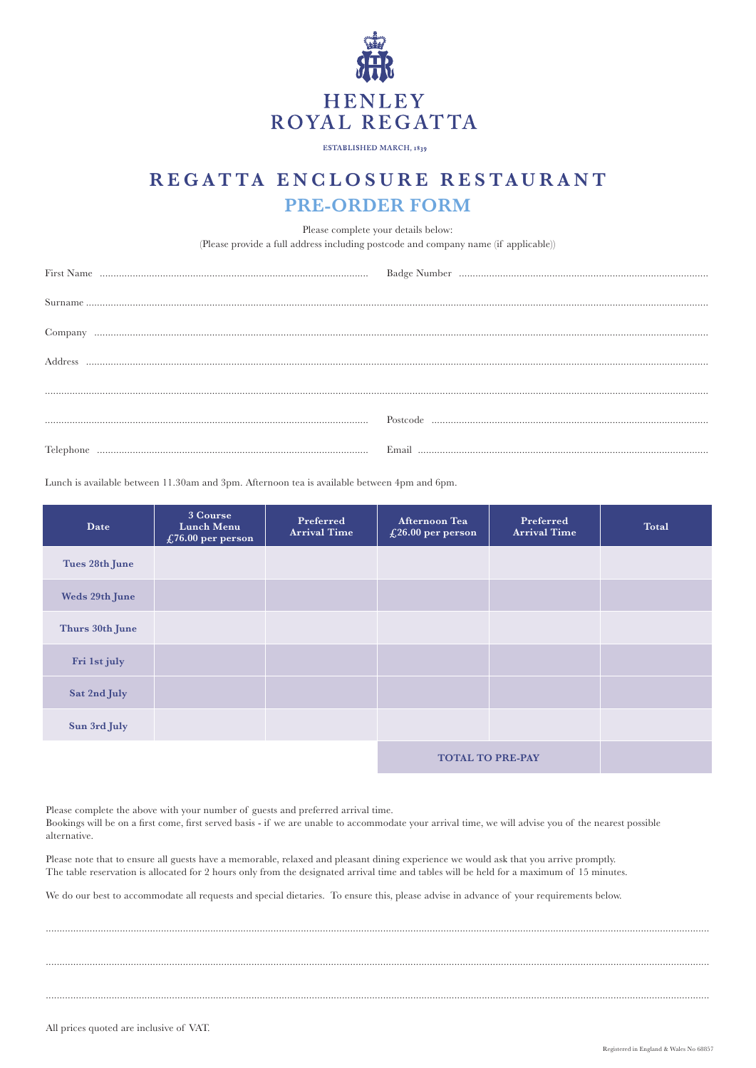

ESTABLISHED MARCH, 1839

## **REGATTA ENCLOSURE RESTAURANT PRE-ORDER FORM**

Please complete your details below:

(Please provide a full address including postcode and company name (if applicable))

| Company |  |
|---------|--|
| Address |  |
|         |  |
|         |  |
|         |  |

Lunch is available between 11.30am and 3pm. Afternoon tea is available between 4pm and 6pm.

| Date            | 3 Course<br><b>Lunch Menu</b><br>£76.00 per person | Preferred<br><b>Arrival Time</b> | Afternoon Tea<br>£26.00 per person | Preferred<br><b>Arrival Time</b> | <b>Total</b> |
|-----------------|----------------------------------------------------|----------------------------------|------------------------------------|----------------------------------|--------------|
| Tues 28th June  |                                                    |                                  |                                    |                                  |              |
| Weds 29th June  |                                                    |                                  |                                    |                                  |              |
| Thurs 30th June |                                                    |                                  |                                    |                                  |              |
| Fri 1st july    |                                                    |                                  |                                    |                                  |              |
| Sat 2nd July    |                                                    |                                  |                                    |                                  |              |
| Sun 3rd July    |                                                    |                                  |                                    |                                  |              |
|                 |                                                    |                                  | <b>TOTAL TO PRE-PAY</b>            |                                  |              |

Please complete the above with your number of guests and preferred arrival time.

Bookings will be on a first come, first served basis - if we are unable to accommodate your arrival time, we will advise you of the nearest possible alternative.

..................................................................................................................................................................................................................................................

..................................................................................................................................................................................................................................................

..................................................................................................................................................................................................................................................

Please note that to ensure all guests have a memorable, relaxed and pleasant dining experience we would ask that you arrive promptly. The table reservation is allocated for 2 hours only from the designated arrival time and tables will be held for a maximum of 15 minutes.

We do our best to accommodate all requests and special dietaries. To ensure this, please advise in advance of your requirements below.